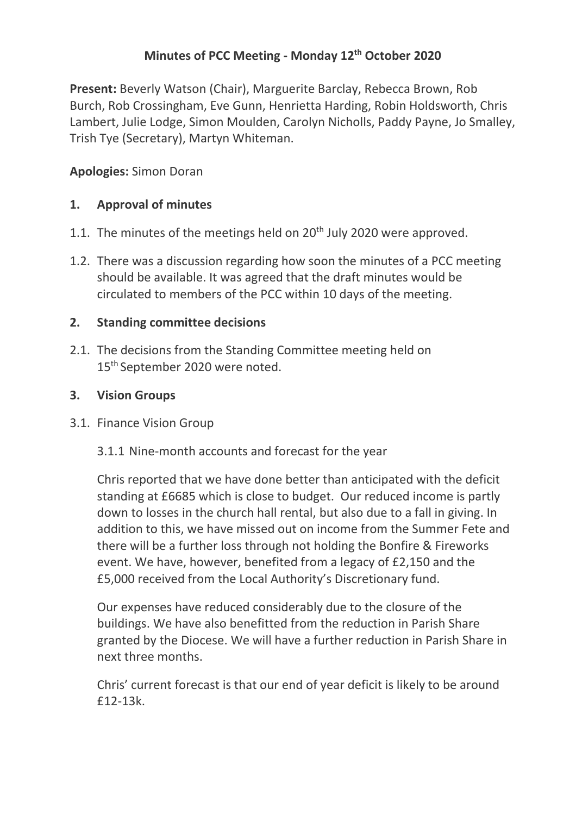# **Minutes of PCC Meeting - Monday 12th October 2020**

**Present:** Beverly Watson (Chair), Marguerite Barclay, Rebecca Brown, Rob Burch, Rob Crossingham, Eve Gunn, Henrietta Harding, Robin Holdsworth, Chris Lambert, Julie Lodge, Simon Moulden, Carolyn Nicholls, Paddy Payne, Jo Smalley, Trish Tye (Secretary), Martyn Whiteman.

## **Apologies:** Simon Doran

### **1. Approval of minutes**

- 1.1. The minutes of the meetings held on  $20<sup>th</sup>$  July 2020 were approved.
- 1.2. There was a discussion regarding how soon the minutes of a PCC meeting should be available. It was agreed that the draft minutes would be circulated to members of the PCC within 10 days of the meeting.

### **2. Standing committee decisions**

2.1. The decisions from the Standing Committee meeting held on 15<sup>th</sup> September 2020 were noted.

### **3. Vision Groups**

- 3.1. Finance Vision Group
	- 3.1.1 Nine-month accounts and forecast for the year

Chris reported that we have done better than anticipated with the deficit standing at £6685 which is close to budget. Our reduced income is partly down to losses in the church hall rental, but also due to a fall in giving. In addition to this, we have missed out on income from the Summer Fete and there will be a further loss through not holding the Bonfire & Fireworks event. We have, however, benefited from a legacy of £2,150 and the £5,000 received from the Local Authority's Discretionary fund.

Our expenses have reduced considerably due to the closure of the buildings. We have also benefitted from the reduction in Parish Share granted by the Diocese. We will have a further reduction in Parish Share in next three months.

Chris' current forecast is that our end of year deficit is likely to be around £12-13k.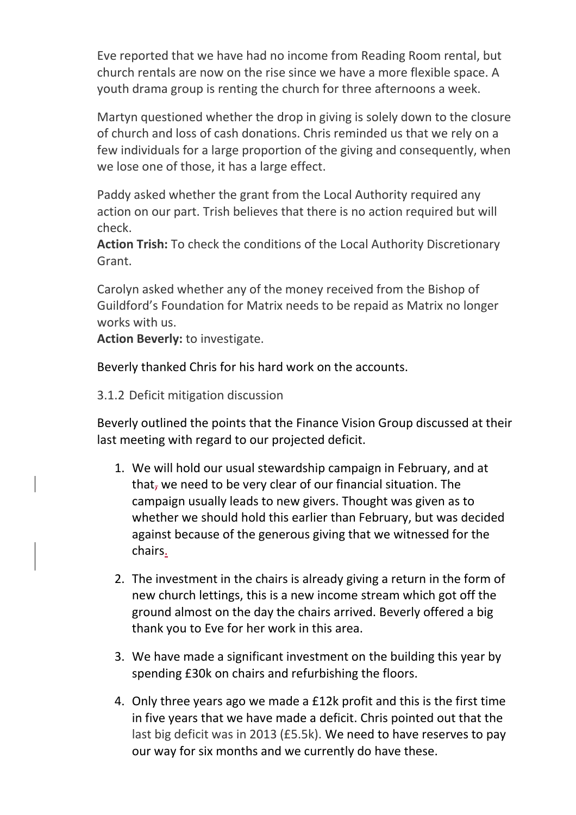Eve reported that we have had no income from Reading Room rental, but church rentals are now on the rise since we have a more flexible space. A youth drama group is renting the church for three afternoons a week.

Martyn questioned whether the drop in giving is solely down to the closure of church and loss of cash donations. Chris reminded us that we rely on a few individuals for a large proportion of the giving and consequently, when we lose one of those, it has a large effect.

Paddy asked whether the grant from the Local Authority required any action on our part. Trish believes that there is no action required but will check.

**Action Trish:** To check the conditions of the Local Authority Discretionary Grant.

Carolyn asked whether any of the money received from the Bishop of Guildford's Foundation for Matrix needs to be repaid as Matrix no longer works with us.

**Action Beverly:** to investigate.

Beverly thanked Chris for his hard work on the accounts.

3.1.2 Deficit mitigation discussion

Beverly outlined the points that the Finance Vision Group discussed at their last meeting with regard to our projected deficit.

- 1. We will hold our usual stewardship campaign in February, and at that, we need to be very clear of our financial situation. The campaign usually leads to new givers. Thought was given as to whether we should hold this earlier than February, but was decided against because of the generous giving that we witnessed for the chairs.
- 2. The investment in the chairs is already giving a return in the form of new church lettings, this is a new income stream which got off the ground almost on the day the chairs arrived. Beverly offered a big thank you to Eve for her work in this area.
- 3. We have made a significant investment on the building this year by spending £30k on chairs and refurbishing the floors.
- 4. Only three years ago we made a £12k profit and this is the first time in five years that we have made a deficit. Chris pointed out that the last big deficit was in 2013 (£5.5k). We need to have reserves to pay our way for six months and we currently do have these.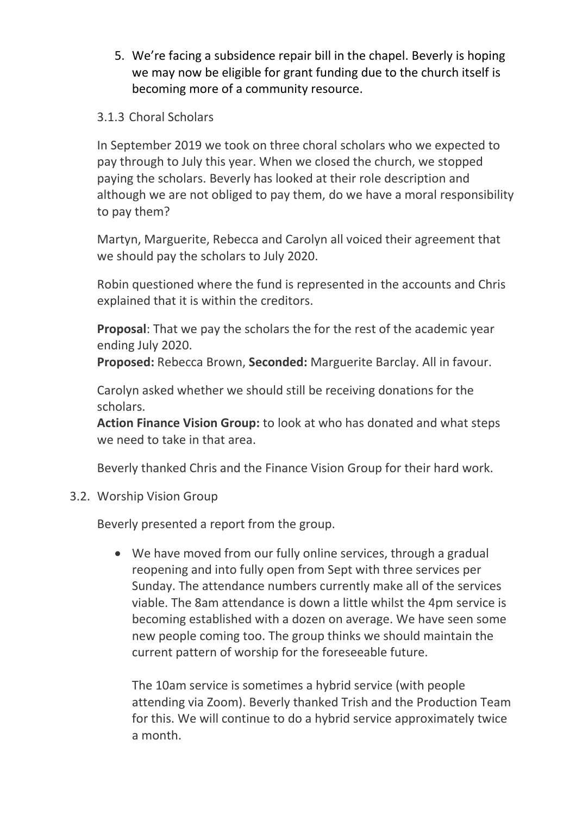- 5. We're facing a subsidence repair bill in the chapel. Beverly is hoping we may now be eligible for grant funding due to the church itself is becoming more of a community resource.
- 3.1.3 Choral Scholars

In September 2019 we took on three choral scholars who we expected to pay through to July this year. When we closed the church, we stopped paying the scholars. Beverly has looked at their role description and although we are not obliged to pay them, do we have a moral responsibility to pay them?

Martyn, Marguerite, Rebecca and Carolyn all voiced their agreement that we should pay the scholars to July 2020.

Robin questioned where the fund is represented in the accounts and Chris explained that it is within the creditors.

**Proposal**: That we pay the scholars the for the rest of the academic year ending July 2020.

**Proposed:** Rebecca Brown, **Seconded:** Marguerite Barclay. All in favour.

Carolyn asked whether we should still be receiving donations for the scholars.

**Action Finance Vision Group:** to look at who has donated and what steps we need to take in that area.

Beverly thanked Chris and the Finance Vision Group for their hard work.

3.2. Worship Vision Group

Beverly presented a report from the group.

• We have moved from our fully online services, through a gradual reopening and into fully open from Sept with three services per Sunday. The attendance numbers currently make all of the services viable. The 8am attendance is down a little whilst the 4pm service is becoming established with a dozen on average. We have seen some new people coming too. The group thinks we should maintain the current pattern of worship for the foreseeable future.

The 10am service is sometimes a hybrid service (with people attending via Zoom). Beverly thanked Trish and the Production Team for this. We will continue to do a hybrid service approximately twice a month.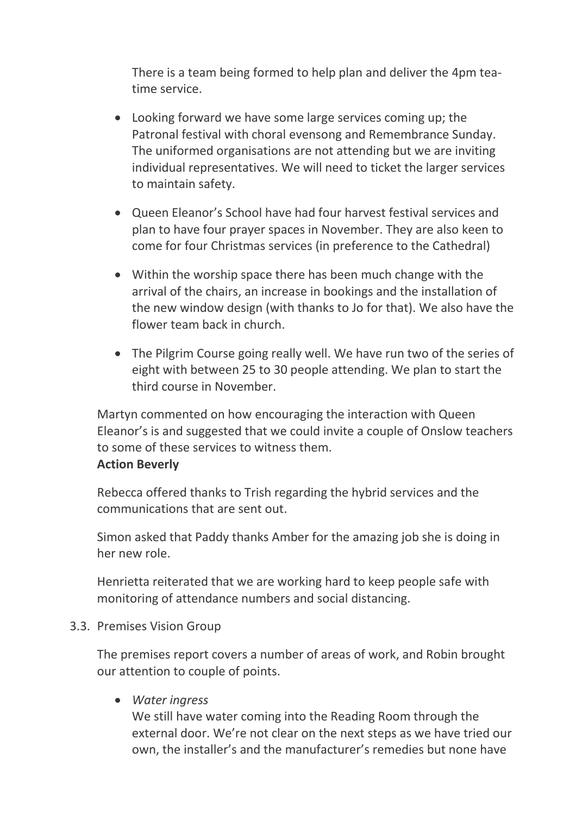There is a team being formed to help plan and deliver the 4pm teatime service.

- Looking forward we have some large services coming up; the Patronal festival with choral evensong and Remembrance Sunday. The uniformed organisations are not attending but we are inviting individual representatives. We will need to ticket the larger services to maintain safety.
- Queen Eleanor's School have had four harvest festival services and plan to have four prayer spaces in November. They are also keen to come for four Christmas services (in preference to the Cathedral)
- Within the worship space there has been much change with the arrival of the chairs, an increase in bookings and the installation of the new window design (with thanks to Jo for that). We also have the flower team back in church.
- The Pilgrim Course going really well. We have run two of the series of eight with between 25 to 30 people attending. We plan to start the third course in November.

Martyn commented on how encouraging the interaction with Queen Eleanor's is and suggested that we could invite a couple of Onslow teachers to some of these services to witness them.

#### **Action Beverly**

Rebecca offered thanks to Trish regarding the hybrid services and the communications that are sent out.

Simon asked that Paddy thanks Amber for the amazing job she is doing in her new role.

Henrietta reiterated that we are working hard to keep people safe with monitoring of attendance numbers and social distancing.

#### 3.3. Premises Vision Group

The premises report covers a number of areas of work, and Robin brought our attention to couple of points.

### • *Water ingress*

We still have water coming into the Reading Room through the external door. We're not clear on the next steps as we have tried our own, the installer's and the manufacturer's remedies but none have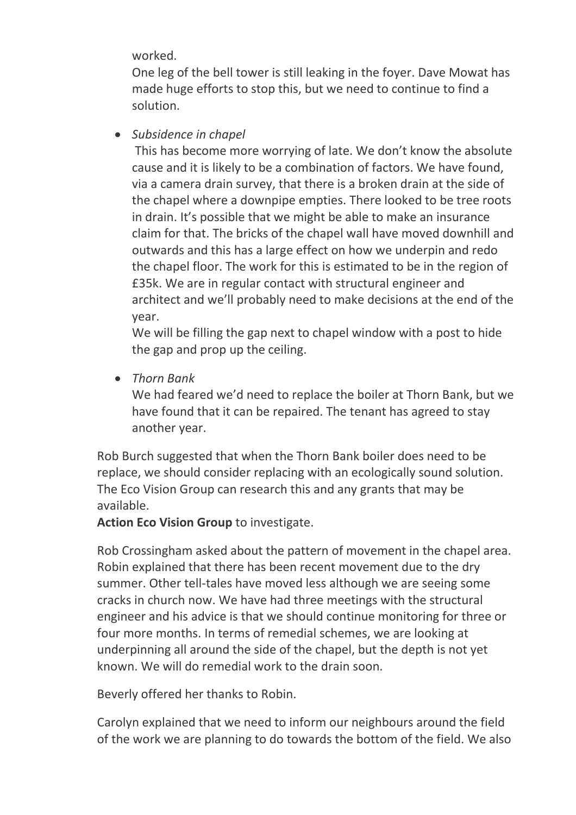worked.

One leg of the bell tower is still leaking in the foyer. Dave Mowat has made huge efforts to stop this, but we need to continue to find a solution.

• *Subsidence in chapel*

This has become more worrying of late. We don't know the absolute cause and it is likely to be a combination of factors. We have found, via a camera drain survey, that there is a broken drain at the side of the chapel where a downpipe empties. There looked to be tree roots in drain. It's possible that we might be able to make an insurance claim for that. The bricks of the chapel wall have moved downhill and outwards and this has a large effect on how we underpin and redo the chapel floor. The work for this is estimated to be in the region of £35k. We are in regular contact with structural engineer and architect and we'll probably need to make decisions at the end of the year.

We will be filling the gap next to chapel window with a post to hide the gap and prop up the ceiling.

• *Thorn Bank*

We had feared we'd need to replace the boiler at Thorn Bank, but we have found that it can be repaired. The tenant has agreed to stay another year.

Rob Burch suggested that when the Thorn Bank boiler does need to be replace, we should consider replacing with an ecologically sound solution. The Eco Vision Group can research this and any grants that may be available.

**Action Eco Vision Group** to investigate.

Rob Crossingham asked about the pattern of movement in the chapel area. Robin explained that there has been recent movement due to the dry summer. Other tell-tales have moved less although we are seeing some cracks in church now. We have had three meetings with the structural engineer and his advice is that we should continue monitoring for three or four more months. In terms of remedial schemes, we are looking at underpinning all around the side of the chapel, but the depth is not yet known. We will do remedial work to the drain soon.

Beverly offered her thanks to Robin.

Carolyn explained that we need to inform our neighbours around the field of the work we are planning to do towards the bottom of the field. We also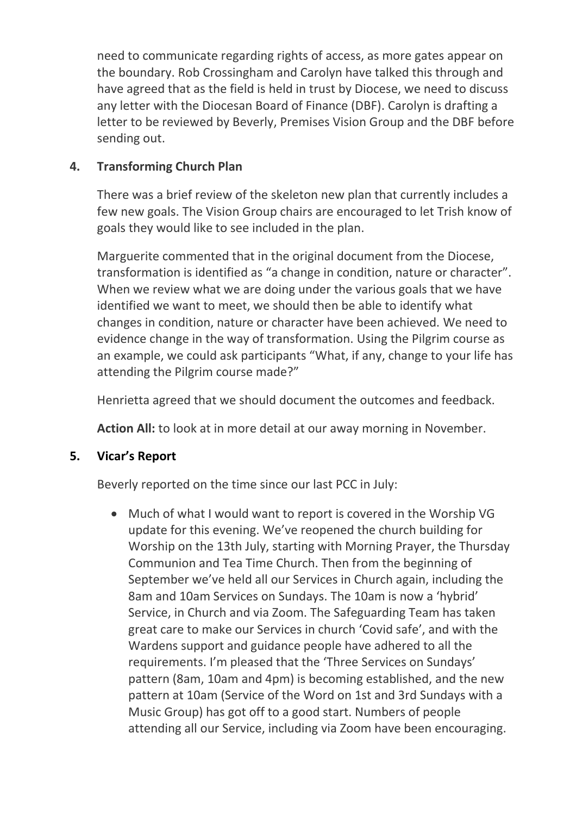need to communicate regarding rights of access, as more gates appear on the boundary. Rob Crossingham and Carolyn have talked this through and have agreed that as the field is held in trust by Diocese, we need to discuss any letter with the Diocesan Board of Finance (DBF). Carolyn is drafting a letter to be reviewed by Beverly, Premises Vision Group and the DBF before sending out.

### **4. Transforming Church Plan**

There was a brief review of the skeleton new plan that currently includes a few new goals. The Vision Group chairs are encouraged to let Trish know of goals they would like to see included in the plan.

Marguerite commented that in the original document from the Diocese, transformation is identified as "a change in condition, nature or character". When we review what we are doing under the various goals that we have identified we want to meet, we should then be able to identify what changes in condition, nature or character have been achieved. We need to evidence change in the way of transformation. Using the Pilgrim course as an example, we could ask participants "What, if any, change to your life has attending the Pilgrim course made?"

Henrietta agreed that we should document the outcomes and feedback.

**Action All:** to look at in more detail at our away morning in November.

# **5. Vicar's Report**

Beverly reported on the time since our last PCC in July:

• Much of what I would want to report is covered in the Worship VG update for this evening. We've reopened the church building for Worship on the 13th July, starting with Morning Prayer, the Thursday Communion and Tea Time Church. Then from the beginning of September we've held all our Services in Church again, including the 8am and 10am Services on Sundays. The 10am is now a 'hybrid' Service, in Church and via Zoom. The Safeguarding Team has taken great care to make our Services in church 'Covid safe', and with the Wardens support and guidance people have adhered to all the requirements. I'm pleased that the 'Three Services on Sundays' pattern (8am, 10am and 4pm) is becoming established, and the new pattern at 10am (Service of the Word on 1st and 3rd Sundays with a Music Group) has got off to a good start. Numbers of people attending all our Service, including via Zoom have been encouraging.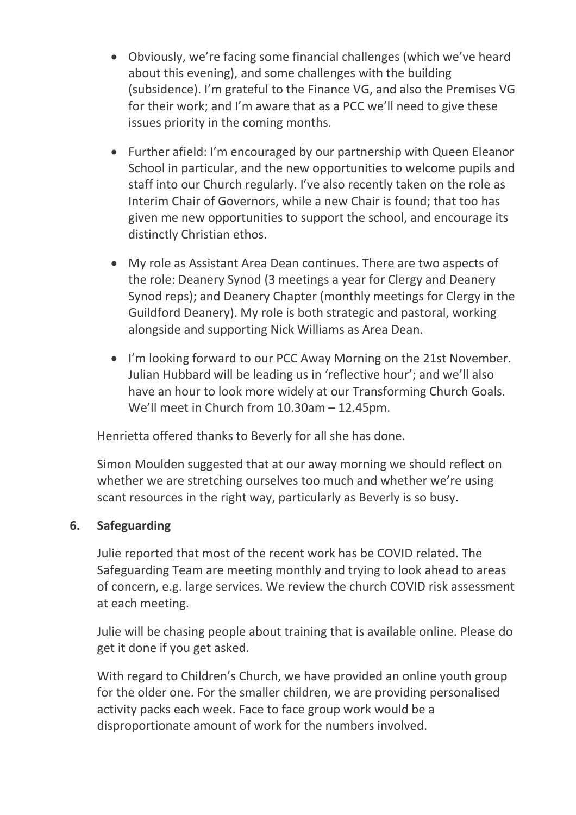- Obviously, we're facing some financial challenges (which we've heard about this evening), and some challenges with the building (subsidence). I'm grateful to the Finance VG, and also the Premises VG for their work; and I'm aware that as a PCC we'll need to give these issues priority in the coming months.
- Further afield: I'm encouraged by our partnership with Queen Eleanor School in particular, and the new opportunities to welcome pupils and staff into our Church regularly. I've also recently taken on the role as Interim Chair of Governors, while a new Chair is found; that too has given me new opportunities to support the school, and encourage its distinctly Christian ethos.
- My role as Assistant Area Dean continues. There are two aspects of the role: Deanery Synod (3 meetings a year for Clergy and Deanery Synod reps); and Deanery Chapter (monthly meetings for Clergy in the Guildford Deanery). My role is both strategic and pastoral, working alongside and supporting Nick Williams as Area Dean.
- I'm looking forward to our PCC Away Morning on the 21st November. Julian Hubbard will be leading us in 'reflective hour'; and we'll also have an hour to look more widely at our Transforming Church Goals. We'll meet in Church from 10.30am – 12.45pm.

Henrietta offered thanks to Beverly for all she has done.

Simon Moulden suggested that at our away morning we should reflect on whether we are stretching ourselves too much and whether we're using scant resources in the right way, particularly as Beverly is so busy.

### **6. Safeguarding**

Julie reported that most of the recent work has be COVID related. The Safeguarding Team are meeting monthly and trying to look ahead to areas of concern, e.g. large services. We review the church COVID risk assessment at each meeting.

Julie will be chasing people about training that is available online. Please do get it done if you get asked.

With regard to Children's Church, we have provided an online youth group for the older one. For the smaller children, we are providing personalised activity packs each week. Face to face group work would be a disproportionate amount of work for the numbers involved.